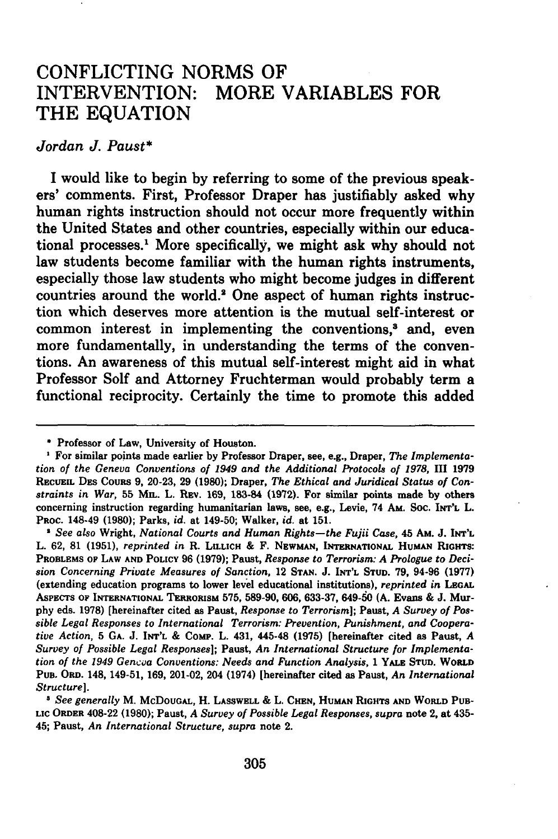## CONFLICTING NORMS OF INTERVENTION: MORE VARIABLES FOR THE **EQUATION**

## *Jordan J. Paust\**

**I** would like to begin **by** referring to some of the previous speakers' comments. First, Professor Draper has justifiably asked why human rights instruction should not occur more frequently within the United States and other countries, especially within our educational processes.1 More specifically, we might ask why should not law students become familiar with the human rights instruments, especially those law students who might become judges in different countries around the world." One aspect of human rights instruction which deserves more attention is the mutual self-interest or common interest in implementing the conventions,<sup>3</sup> and, even more fundamentally, in understanding the terms of the conventions. An awareness of this mutual self-interest might aid in what Professor Solf and Attorney Fruchterman would probably term a functional reciprocity. Certainly the time to promote this added

*2 See also* Wright, *National Courts and Human Rights-the Fujii Case,* 45 Am. **J.** INT'L L. **62, 81 (1951),** *reprinted in* R. LIILICH **&** F. **NEWMAN, INTERNATIONAL** HUMAN RIGHTS: **PROBLEMS OF LAW AND POLICY 96 (1979);** Paust, *Response to Terrorism: A Prologue to Decision Concerning Private Measures of Sanction,* 12 **STAN. J. INT'L STUD. 79,** 94-96 **(1977)** (extending education programs to lower level educational institutions), *reprinted in* **LEGAL ASPECTS OF INTERNATIONAL TERRORISM 575, 589-90, 606, 633-37,** 649-50 **(A.** Evans **& J.** Mur**phy** eds. **1978)** [hereinafter cited as Paust, *Response to Terrorism];* **Paust,** *A Survey of Possible Legal Responses to International Terrorism: Prevention, Punishment, and Cooperative Action,* **5 GA. J. INT'L & ComP.** L. 431, **445-48 (1975)** [hereinafter cited as Paust, *A Survey of Possible Legal Responses];* **Paust,** *An International Structure for Implementation of the 1949 Gencoa Conventions: Needs and Function Analysis,* **1 YALE STUD. WORLD PUB. ORD.** 148, 149-51, **169,** 201-02, 204 (1974) [hereinafter cited as **Paust,** *An International Structure].*

*<sup>3</sup>See generally* M. **McDOUGAL,** H. **LASSWELL &** L. **CHEN, HUMAN RIGHTS AND WORLD PUB-LIC ORDER** 408-22 **(1980); Paust,** *A Survey of Possible Legal Responses, supra* **note** 2, **at** 435- 45; **Paust,** *An International Structure, supra* **note** 2.

Professor of Law, University of Houston.

For similar points made earlier **by** Professor Draper, see, e.g., Draper, *The Implementation of the Geneva Conventions of 1949 and the Additional Protocols of 1978,* **III 1979 RECUEIL DES** Couns **9, 20-23, 29 (1980);** Draper, *The Ethical and Juridical Status of Constraints in War,* 55 **MIL.** L. **REv. 169,** 183-84 **(1972).** For similar points made **by** others concerning instruction regarding humanitarian laws, see, e.g., Levie, 74 **Am.** Soc. **INT'L** L. **PROC.** 148-49 **(1980);** Parks, *id.* at 149-50; Walker, *id.* at **151.**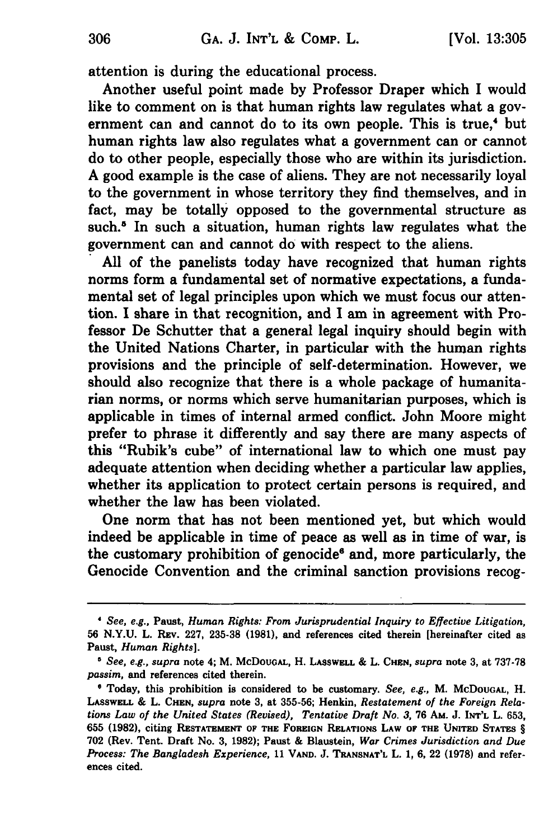attention is during the educational process.

Another useful point made **by** Professor Draper which **I** would like to comment on is that human rights law regulates what a government can and cannot do to its own people. This is true,<sup>4</sup> but human rights law also regulates what a government can or cannot do to other people, especially those who are within its jurisdiction. **A** good example is the case of aliens. They are not necessarily loyal to the government in whose territory they find themselves, and in fact, may be totally opposed to the governmental structure as such.<sup>5</sup> In such a situation, human rights law regulates what the government can and cannot do with respect to the aliens.

**All** of the panelists today have recognized that human rights norms form a fundamental set of normative expectations, a fundamental set of legal principles upon which we must focus our attention. **I** share in that recognition, and **I** am in agreement with Professor De Schutter that a general legal inquiry should begin with the United Nations Charter, in particular with the human rights provisions and the principle of self-determination. However, we should also recognize that there is a whole package of humanitarian norms, or norms which serve humanitarian purposes, which is applicable in times of internal armed conflict. John Moore might prefer to phrase it differently and say there are many aspects of this "Rubik's cube" of international law to which one must pay adequate attention when deciding whether a particular law applies, whether its application to protect certain persons is required, and whether the law has been violated.

One norm that has not been mentioned yet, but which would indeed be applicable in time of peace as well as in time of war, is the customary prohibition of genocide<sup>6</sup> and, more particularly, the Genocide Convention and the criminal sanction provisions recog-

*See, e.g.,* Paust, *Human Rights: From Jurisprudential Inquiry to Effective Litigation,* **56 N.Y.U.** L. **REv. 227, 235-38 (1981),** and references cited therein [hereinafter cited as Paust, *Human Rights].*

*<sup>&#</sup>x27; See, e.g., supra* note 4; M. McDoUGAL, H. LASSWELL **&** L. **CHEN,** *supra* note **3,** at **737-78** *passim,* and references cited therein.

**<sup>&#</sup>x27;** Today, this prohibition is considered to be customary. *See, e.g.,* M. McDOUGAL, H. **LASSWELL &** L. **CHEN,** *supra* note **3,** at **355-56;** Henkin, *Restatement of the Foreign Relations Law of the United States (Revised), Tentative Draft No. 3,* **76** AM. **J.** INT'L L. **653, 655 (1982),** citing **RESTATEMENT OF THE FOREIGN RELATIONS LAW OF THE UNITED STATES** § **702** (Rev. Tent. Draft No. **3, 1982);** Paust **&** Blaustein, *War Crimes Jurisdiction and Due Process: The Bangladesh Experience,* **11 VAND. J. TRANSNAT'L** L. **1, 6,** 22 **(1978)** and references cited.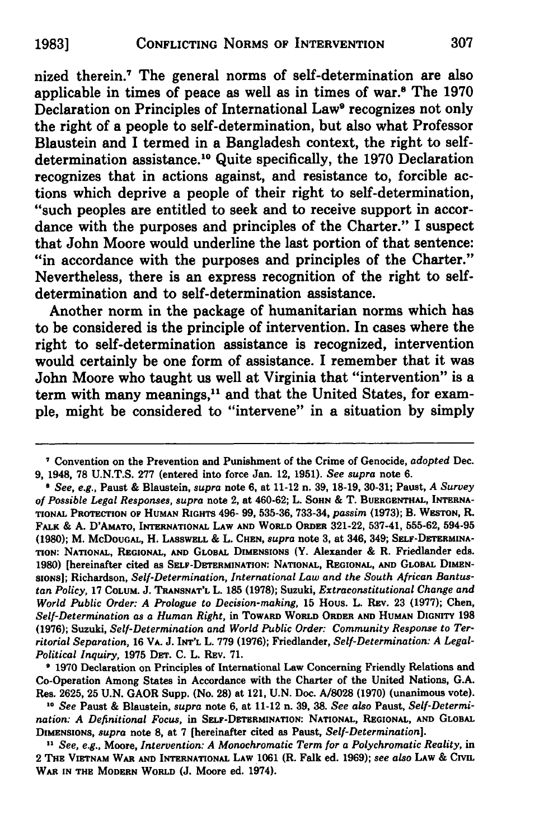nized therein.7 The general norms of self-determination are also applicable in times of peace as well as in times of war.8 The **1970** Declaration on Principles of International Law<sup>9</sup> recognizes not only the right of a people to self-determination, but also what Professor Blaustein and I termed in a Bangladesh context, the right to selfdetermination assistance.10 Quite specifically, the **1970** Declaration recognizes that in actions against, and resistance to, forcible actions which deprive a people of their right to self-determination, "such peoples are entitled to seek and to receive support in accordance with the purposes and principles of the Charter." I suspect that John Moore would underline the last portion of that sentence: "in accordance with the purposes and principles of the Charter." Nevertheless, there is an express recognition of the right **to** selfdetermination and to self-determination assistance.

Another norm in the package of humanitarian norms which has to be considered is the principle of intervention. In cases where the right to self-determination assistance is recognized, intervention would certainly be one form of assistance. I remember that it was John Moore who taught us well at Virginia that "intervention" is a term with many meanings,<sup>11</sup> and that the United States, for example, might be considered to "intervene" in a situation **by** simply

**9 1970** Declaration on Principles of International Law Concerning Friendly Relations and Co-Operation Among States in Accordance with the Charter of the United Nations, **G.A.** Res. **2625, 25 U.N. GAOR** Supp. (No. **28)** at 121, **U.N.** Doc. **A/8028 (1970)** (unanimous vote).

*1o See* Paust **&** Blaustein, *supra* note **6,** at 11-12 n. **39, 38.** *See also* Paust, *Self-Determination: A Definitional Focus,* in **SELF-DETERMINATION:** NATIONAL, **REGIONAL, AND** GLOBAL **DIMENSIONS,** *supra* note **8,** at **7** [hereinafter cited as Paust, *Self-Determination].*

*11 See, e.g.,* Moore, *Intervention: A Monochromatic Term for a Polychromatic Reality,* in 2 THE VIETNAM WAR **AND INTERNATIONAL** LAW **1061 (R.** Falk ed. **1969);** *see also* LAW **& CIvIL** WAR **IN THE MODERN WORLD (J.** Moore ed. 1974).

Convention on the Prevention and Punishment of the Crime of Genocide, *adopted* Dec. **9,** 1948, **78 U.N.T.S. 277** (entered into force Jan. 12, **1951).** *See supra* note **6.**

*<sup>6</sup> See, e.g.,* Paust **&** Blaustein, *supra* note **6,** at 11-12 n. **39, 18-19, 30-31;** Paust, *A Survey of Possible Legal Responses, supra* note 2, at 460-62; L. **SOHN &** T. BUERGENTHAL, INTERNA-**TIONAL** PROTECTION OF HUMAN RIGHTS 496- **99, 535-36, 733-34,** *passim* **(1973);** B. **WESTON,** R. FALK **& A.** D'AMATo, **INTERNATIONAL** LAW **AND WORLD ORDER 321-22, 537-41, 555-62, 594-95 (1980);** M. McDoUGAL, **H.** LASSWELL **& L. CHEN,** *supra* note **3,** at 346, 349; SELF-DETERMtNA-**TION: NATIONAL, REGIONAL, AND** GLOBAL **DIMENSIONS (Y.** Alexander **& R.** Friedlander eds. **1980)** [hereinafter cited as **SELF-DETERMINATION: NATIONAL, REGIONAL, AND** GLOBAL **DIMEN-SIONS];** Richardson, *Self-Determination, International Law and the South African Bantustan Policy,* **17 COLUM. J. TRANSNAT'L L. 185 (1978);** Suzuki, *Extraconstitutional Change and World Public Order: A Prologue to Decision-making,* **15** Hous. L. REv. **23 (1977);** Chen, *Self-Determination as a Human Right,* in TOWARD WORLD ORDER **AND** HuMAN **DIGNITY 198 (1976);** Suzuki, *Self-Determination and World Public Order: Community Response to Territorial Separation,* **16 VA. J.** INT'L **L. 779 (1976);** Friedlander, *Self-Determination: A Legal-Political Inquiry,* **1975** DET. **C.** L. REv. **71.**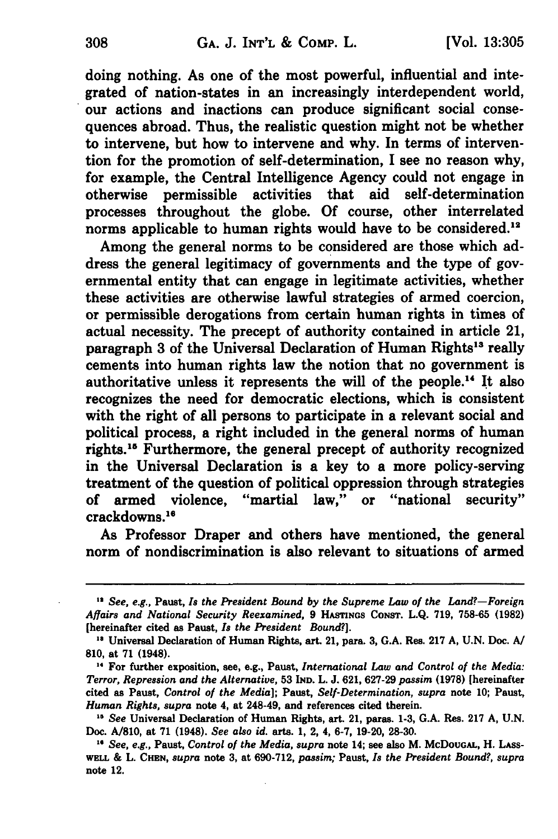doing nothing. As one of the most powerful, influential and integrated of nation-states in an increasingly interdependent world, our actions and inactions can produce significant social consequences abroad. Thus, the realistic question might not be whether to intervene, but how to intervene and why. In terms of intervention for the promotion of self-determination, I see no reason why, for example, the Central Intelligence Agency could not engage in otherwise permissible activities that aid self-determination processes throughout the globe. **Of** course, other interrelated norms applicable to human rights would have to be considered.<sup>12</sup>

Among the general norms to be considered are those which address the general legitimacy of governments and the type of governmental entity that can engage in legitimate activities, whether these activities are otherwise lawful strategies of armed coercion, or permissible derogations from certain human rights in times of actual necessity. The precept of authority contained in article 21, paragraph 3 of the Universal Declaration of Human Rights<sup>13</sup> really cements into human rights law the notion that no government is authoritative unless it represents the will of the people." It also recognizes the need for democratic elections, which is consistent with the right of all persons to participate in a relevant social and political process, a right included in the general norms of human rights.<sup>15</sup> Furthermore, the general precept of authority recognized in the Universal Declaration is a key to a more policy-serving treatment of the question of political oppression through strategies of armed violence, "martial law," or "national security" crackdowns.<sup>16</sup>

As Professor Draper and others have mentioned, the general norm of nondiscrimination is also relevant to situations of armed

*<sup>&</sup>quot; See, e.g.,* Paust, *Is the President Bound by the Supreme Law of the Land?-Foreign Affairs and National Security Reexamined,* **9** HASTNGS CONST. **L.Q. 719, 758-65 (1982)** [hereinafter cited as Paust, *Is the President Bound?].*

**<sup>&#</sup>x27;s** Universal Declaration of Human Rights, art. 21, para. **3, G.A.** Res. **217 A, U.N.** Doc. **A/ 810,** at **71** (1948).

<sup>&</sup>quot; For further exposition, see, e.g., Paust, *International Law and Control of the Media: Terror, Repression and the Alternative,* **53 IND.** L. **J. 621, 627-29** *passim* **(1978)** [hereinafter cited as Paust, *Control of the Media];* Paust, *Self-Determination, supra* note **10;** Paust, *Human Rights, supra* note 4, at 248-49, and references cited therein.

*<sup>&</sup>quot; See* Universal Declaration of Human Rights, art. 21, paras. **1-3, G.A.** Res. **217 A, U.N.** Doc. **A/810,** at **71** (1948). *See also id.* arts. **1,** 2, 4, **6-7, 19-20, 28-30.**

*<sup>&</sup>quot; See, e.g.,* Paust, *Control of the Media, supra* note 14; see also M. McDoUGAL, H. LAss-**WELL &** L. **CHEN,** *supra* note **3,** at **690-712,** *passim;* Paust, *Is the President Bound?, supra* note 12.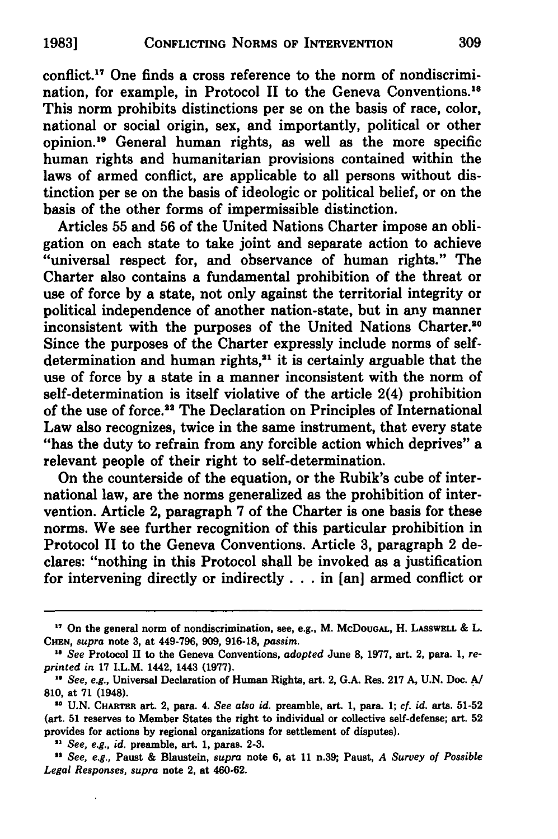conflict." One finds a cross reference to the norm of nondiscrimination, for example, in Protocol II to the Geneva Conventions.<sup>18</sup> This norm prohibits distinctions per se on the basis of race, color, national or social origin, sex, and importantly, political or other opinion. 9 General human rights, as well as the more specific human rights and humanitarian provisions contained within the laws of armed conflict, are applicable to all persons without distinction per se on the basis of ideologic or political belief, or on the basis of the other forms of impermissible distinction.

Articles **55** and **56** of the United Nations Charter impose an obligation on each state to take joint and separate action to achieve "universal respect for, and observance of human rights." The Charter also contains a fundamental prohibition of the threat or use of force **by** a state, not only against the territorial integrity or political independence of another nation-state, but in any manner inconsistent with the purposes of the United Nations Charter.<sup>20</sup> Since the purposes of the Charter expressly include norms of selfdetermination and human rights, $21$  it is certainly arguable that the use of force **by** a state in a manner inconsistent with the norm of self-determination is itself violative of the article 2(4) prohibition of the use of force.<sup>22</sup> The Declaration on Principles of International Law also recognizes, twice in the same instrument, that every state "has the duty to refrain from any forcible action which deprives" a relevant people of their right to self-determination.

On the counterside of the equation, or the Rubik's cube of international law, are the norms generalized as the prohibition of intervention. Article 2, paragraph **7** of the Charter is one basis for these norms. We see further recognition of this particular prohibition in Protocol II to the Geneva Conventions. Article **3,** paragraph 2 declares: "nothing in this Protocol shall be invoked as a justification for intervening directly or indirectly. **. .** in [an] armed conflict or

**<sup>17</sup>**On the general norm of nondiscrimination, see, e.g., M. McDoUGAL, H. LASSWELL **&** L. **CHEN,** *supra* note **3,** at 449-796, **909, 916-18,** *passim.*

*<sup>18</sup> See* Protocol II to the Geneva Conventions, *adopted* June **8, 1977,** art. 2, para. **1,** *reprinted in* **17** LL.M. 1442, 1443 **(1977).**

*<sup>&</sup>quot; See, e.g.,* Universal Declaration of Human Rights, art. 2, **G.A.** Res. **217 A, U.N.** Doc. **A/ 810,** at **71** (1948).

**<sup>&</sup>quot;' U.N.** CHARTER art. 2, para. 4. *See also id.* preamble, art. **1,** para. **1;** *cf. id.* arts. **51-52** (art. **51** reserves to Member States the right to individual or collective self-defense; art. **52** provides for actions **by** regional organizations for settlement of disputes).

*<sup>&</sup>quot; See, e.g., id.* preamble, art. **1,** paras. **2-3.**

**<sup>&</sup>quot;** *See, e.g.,* Paust **&** Blaustein, *supra* note **6,** at **11** n.39; Paust, *A Survey of Possible Legal Responses, supra* note 2, at 460-62.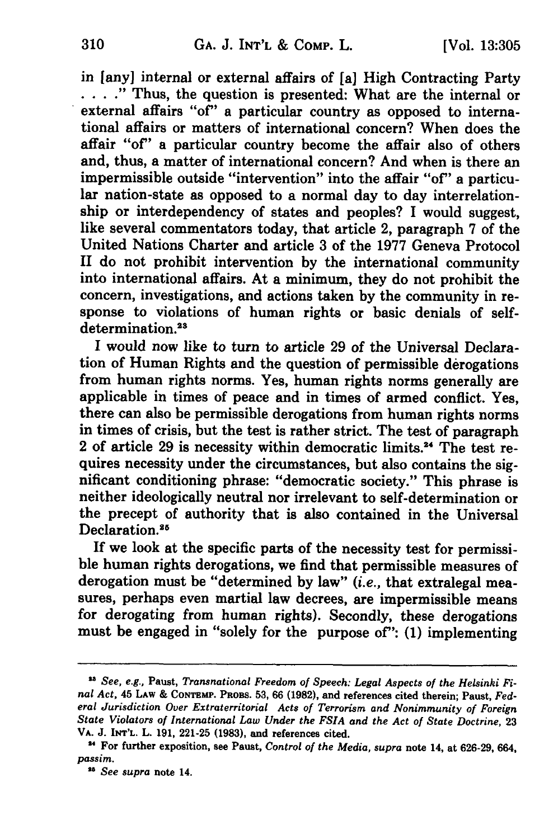in [any] internal or external affairs of [a] High Contracting Party **... .** "Thus, the question is presented: What are the internal or external affairs "of" a particular country as opposed to international affairs or matters of international concern? When does the affair "of" a particular country become the affair also of others and, thus, a matter of international concern? And when is there an impermissible outside "intervention" into the affair "of" a particular nation-state as opposed to a normal day to day interrelationship or interdependency of states and peoples? I would suggest, like several commentators today, that article 2, paragraph **7** of the United Nations Charter and article **3** of the **1977** Geneva Protocol **II** do not prohibit intervention **by** the international community into international affairs. At a minimum, they do not prohibit the concern, investigations, and actions taken **by** the community in response to violations of human rights or basic denials of selfdetermination.<sup>23</sup>

**I** would now like to turn to article **29** of the Universal Declaration of Human Rights and the question of permissible derogations from human rights norms. Yes, human rights norms generally are applicable in times of peace and in times of armed conflict. Yes, there can also be permissible derogations from human rights norms in times of crisis, but the test is rather strict. The test of paragraph 2 of article **29** is necessity within democratic limits.24 The test requires necessity under the circumstances, but also contains the significant conditioning phrase: "democratic society." This phrase is neither ideologically neutral nor irrelevant to self-determination or the precept of authority that is also contained in the Universal Declaration.<sup>25</sup>

If we look at the specific parts of the necessity test for permissible human rights derogations, we find that permissible measures of derogation must be "determined **by** law" *(i.e.,* that extralegal measures, perhaps even martial law decrees, are impermissible means for derogating from human rights). Secondly, these derogations must be engaged in "solely for the purpose of": **(1)** implementing

<sup>&</sup>lt;sup>23</sup> See, e.g., Paust, Transnational Freedom of Speech: Legal Aspects of the Helsinki Fi*nal Act,* 45 **LAW & CONTEMP. PROBS. 53, 66 (1982),** and references cited therein; Paust, *Federal Jurisdiction Over Extraterritorial Acts of Terrorism and Nonimmunity of Foreign State Violators of International Law Under the FSIA and the Act of State Doctrine,* **<sup>23</sup>** VA. **J. INT'L.** L. **191, 221-25 (1983),** and references cited.

For further exposition, see **Paust,** *Control of the Media, supra* note **14, at 626-29, 664,** *passim.*

*<sup>28</sup> See supra* note 14.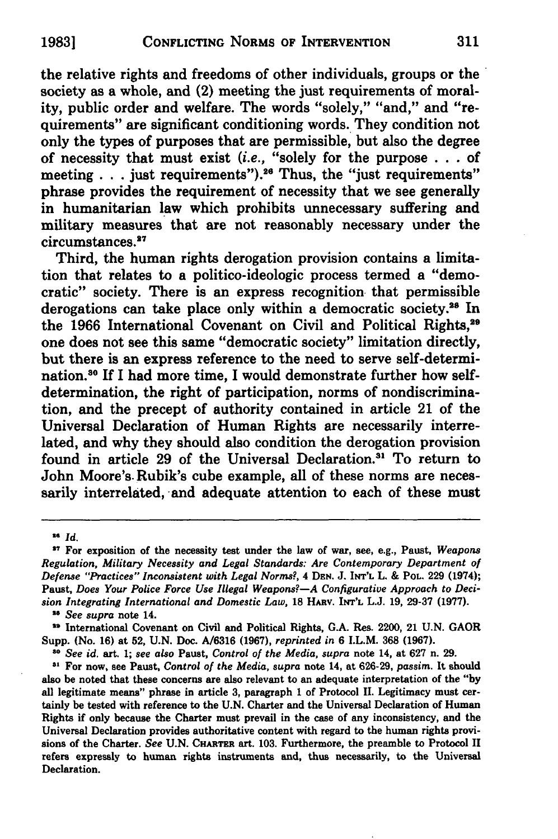the relative rights and freedoms of other individuals, groups or the society as a whole, and (2) meeting the just requirements of morality, public order and welfare. The words "solely," "and," and "requirements" are significant conditioning words. They condition not only the types of purposes that are permissible, but also the degree of necessity that must exist *(i.e.,* "solely for the purpose **. ..**of meeting **. . .** just requirements"). <sup>2</sup> a Thus, the "just requirements" phrase provides the requirement of necessity that we see generally in humanitarian **law** which prohibits unnecessary suffering and military measures that are not reasonably necessary under the circumstances.<sup>27</sup>

Third, the human rights derogation provision contains a limitation that relates to a politico-ideologic process termed a "democratic" society. There is an express recognition that permissible derogations can take place only within a democratic society.<sup>28</sup> In the **1966** International Covenant on Civil and Political Rights,29 one does not see this same "democratic society" limitation directly, but there is an express reference to the need to serve self-determination.80 If **I** had more time, I would demonstrate further how selfdetermination, the right of participation, norms of nondiscrimination, and the precept of authority contained in article 21 of the Universal Declaration of Human Rights are necessarily interrelated, and why they should also condition the derogation provision found in article 29 of the Universal Declaration.<sup>31</sup> To return to John Moore's. Rubik's cube example, all of these norms are necessarily interrelated, and adequate attention to each of these must

**<sup>26</sup>** *Id.*

**<sup>27</sup>**For exposition of the necessity test under the law of war, see, e.g., Paust, *Weapons Regulation, Military Necessity and Legal Standards: Are Contemporary Department of Defense "Practices" Inconsistent with Legal Norms?, 4* **DEN. J. INT'L** L. **& POL. 229** (1974); Paust, *Does Your Police Force Use Illegal Weapons*?—A Configurative Approach to Deci*sion Integrating International and Domestic Law,* 18 HARV. INT'L L.J. 19, 29-37 (1977).

*<sup>&</sup>quot; See supra* note 14.

<sup>&</sup>quot; International Covenant on Civil and Political Rights, **G.A. Res.** 2200, 21 **U.N.** GAOR Supp. (No. **16)** at **52, U.N.** Doc. **A/6316 (1967),** *reprinted in* **6** I.L.M. **368 (1967).**

*<sup>80</sup>See id.* art. **1;** *see also* Paust, *Control of the Media, supra* note 14, at **627** n. **29.**

**<sup>31</sup>**For now, see Paust, *Control of the Media, supra* note 14, at **626-29,** *passim.* It should also be noted that these concerns are also relevant to an adequate interpretation of the **"by** all legitimate means" phrase in article **3,** paragraph **1** of Protocol **II.** Legitimacy must certainly be tested with reference to the **U.N.** Charter and the Universal Declaration of **Human** Rights if only because the Charter must prevail in the case of any inconsistency, and the Universal Declaration provides authoritative content with regard to the human rights provisions of the Charter. *See* **U.N. CHARTER** art. **103.** Furthermore, the preamble to Protocol **II** refers expressly to human rights instruments and, thus necessarily, to the Universal Declaration.